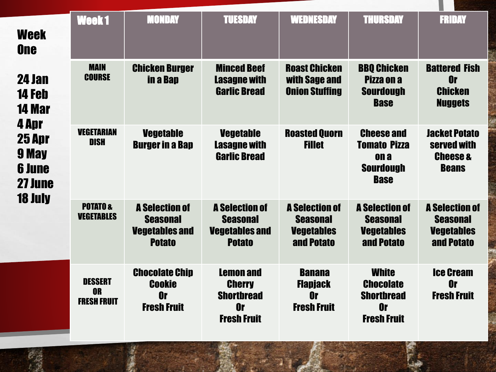| <b>Week</b><br><b>One</b>                                                                                   | Week1                                             | <b>MONDAY</b>                                                                      | <b>TUESDAY</b>                                                                            | <b>WEDNESDAY</b>                                                            | <b>THURSDAY</b>                                                                     | <b>FRIDAY</b>                                                               |
|-------------------------------------------------------------------------------------------------------------|---------------------------------------------------|------------------------------------------------------------------------------------|-------------------------------------------------------------------------------------------|-----------------------------------------------------------------------------|-------------------------------------------------------------------------------------|-----------------------------------------------------------------------------|
| 24 Jan<br>14 Feb<br><b>14 Mar</b><br>4 Apr<br>25 Apr<br>9 May<br><b>6 June</b><br>27 June<br><b>18 July</b> | <b>MAIN</b><br><b>COURSE</b>                      | <b>Chicken Burger</b><br>in a Bap                                                  | <b>Minced Beef</b><br><b>Lasagne with</b><br><b>Garlic Bread</b>                          | <b>Roast Chicken</b><br>with Sage and<br><b>Onion Stuffing</b>              | <b>BBQ Chicken</b><br>Pizza on a<br><b>Sourdough</b><br><b>Base</b>                 | <b>Battered Fish</b><br><b>Or</b><br><b>Chicken</b><br><b>Nuggets</b>       |
|                                                                                                             | <b>VEGETARIAN</b><br><b>DISH</b>                  | <b>Vegetable</b><br><b>Burger in a Bap</b>                                         | <b>Vegetable</b><br><b>Lasagne with</b><br><b>Garlic Bread</b>                            | <b>Roasted Quorn</b><br><b>Fillet</b>                                       | <b>Cheese and</b><br><b>Tomato Pizza</b><br>on a<br><b>Sourdough</b><br><b>Base</b> | <b>Jacket Potato</b><br>served with<br><b>Cheese &amp;</b><br><b>Beans</b>  |
|                                                                                                             | <b>POTATO&amp;</b><br><b>VEGETABLES</b>           | <b>A Selection of</b><br><b>Seasonal</b><br><b>Vegetables and</b><br><b>Potato</b> | <b>A Selection of</b><br><b>Seasonal</b><br><b>Vegetables and</b><br><b>Potato</b>        | <b>A Selection of</b><br><b>Seasonal</b><br><b>Vegetables</b><br>and Potato | <b>A Selection of</b><br><b>Seasonal</b><br><b>Vegetables</b><br>and Potato         | <b>A Selection of</b><br><b>Seasonal</b><br><b>Vegetables</b><br>and Potato |
|                                                                                                             | <b>DESSERT</b><br><b>OR</b><br><b>FRESH FRUIT</b> | <b>Chocolate Chip</b><br><b>Cookie</b><br>0r<br><b>Fresh Fruit</b>                 | <b>Lemon and</b><br><b>Cherry</b><br><b>Shortbread</b><br><b>Or</b><br><b>Fresh Fruit</b> | <b>Banana</b><br><b>Flanjack</b><br>0r<br><b>Fresh Fruit</b>                | <b>White</b><br><b>Chocolate</b><br><b>Shortbread</b><br>0r<br><b>Fresh Fruit</b>   | <b>Ice Cream</b><br><b>Or</b><br><b>Fresh Fruit</b>                         |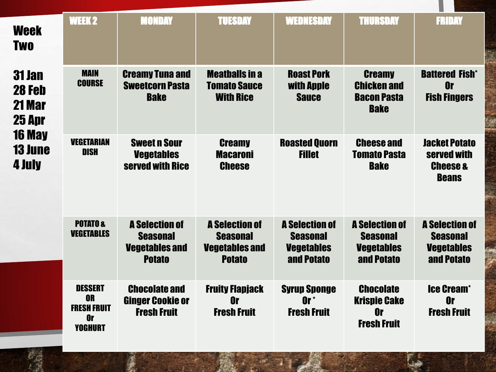| Week<br><b>Two</b>                                                                       | <b>WEEK 2</b>                                                                    | <b>MONDAY</b>                                                                      | <b>TUESDAY</b>                                                                     | <b>WEDNESDAY</b>                                                            | <b>THURSDAY</b>                                                             | <b>FRIDAY</b>                                                               |
|------------------------------------------------------------------------------------------|----------------------------------------------------------------------------------|------------------------------------------------------------------------------------|------------------------------------------------------------------------------------|-----------------------------------------------------------------------------|-----------------------------------------------------------------------------|-----------------------------------------------------------------------------|
| <b>31 Jan</b><br>28 Feb<br>21 Mar<br>25 Apr<br><b>16 May</b><br><b>13 June</b><br>4 July | <b>MAIN</b><br><b>COURSE</b>                                                     | <b>Creamy Tuna and</b><br><b>Sweetcorn Pasta</b><br><b>Bake</b>                    | <b>Meathalls in a</b><br><b>Tomato Sauce</b><br><b>With Rice</b>                   | <b>Roast Pork</b><br>with Apple<br><b>Sauce</b>                             | <b>Creamy</b><br><b>Chicken and</b><br><b>Bacon Pasta</b><br><b>Bake</b>    | <b>Battered Fish*</b><br><b>Or</b><br><b>Fish Fingers</b>                   |
|                                                                                          | <b>VEGETARIAN</b><br><b>DISH</b>                                                 | <b>Sweet n Sour</b><br><b>Vegetables</b><br>served with Rice                       | <b>Creamy</b><br><b>Macaroni</b><br><b>Cheese</b>                                  | <b>Roasted Quorn</b><br><b>Fillet</b>                                       | <b>Cheese and</b><br><b>Tomato Pasta</b><br><b>Bake</b>                     | <b>Jacket Potato</b><br>served with<br><b>Cheese &amp;</b><br><b>Beans</b>  |
|                                                                                          | <b>POTATO&amp;</b><br><b>VEGETABLES</b>                                          | <b>A Selection of</b><br><b>Seasonal</b><br><b>Vegetables and</b><br><b>Potato</b> | <b>A Selection of</b><br><b>Seasonal</b><br><b>Vegetables and</b><br><b>Potato</b> | <b>A Selection of</b><br><b>Seasonal</b><br><b>Vegetables</b><br>and Potato | <b>A Selection of</b><br><b>Seasonal</b><br><b>Vegetables</b><br>and Potato | <b>A Selection of</b><br><b>Seasonal</b><br><b>Vegetables</b><br>and Potato |
|                                                                                          | <b>DESSERT</b><br><b>OR</b><br><b>FRESH FRUIT</b><br><b>Or</b><br><b>YOGHURT</b> | <b>Chocolate and</b><br><b>Ginger Cookie or</b><br><b>Fresh Fruit</b>              | <b>Fruity Flapjack</b><br>0r<br><b>Fresh Fruit</b>                                 | <b>Syrup Sponge</b><br>$0r^*$<br><b>Fresh Fruit</b>                         | <b>Chocolate</b><br><b>Krispie Cake</b><br>0r<br><b>Fresh Fruit</b>         | <b>Ice Cream*</b><br>0r<br><b>Fresh Fruit</b>                               |